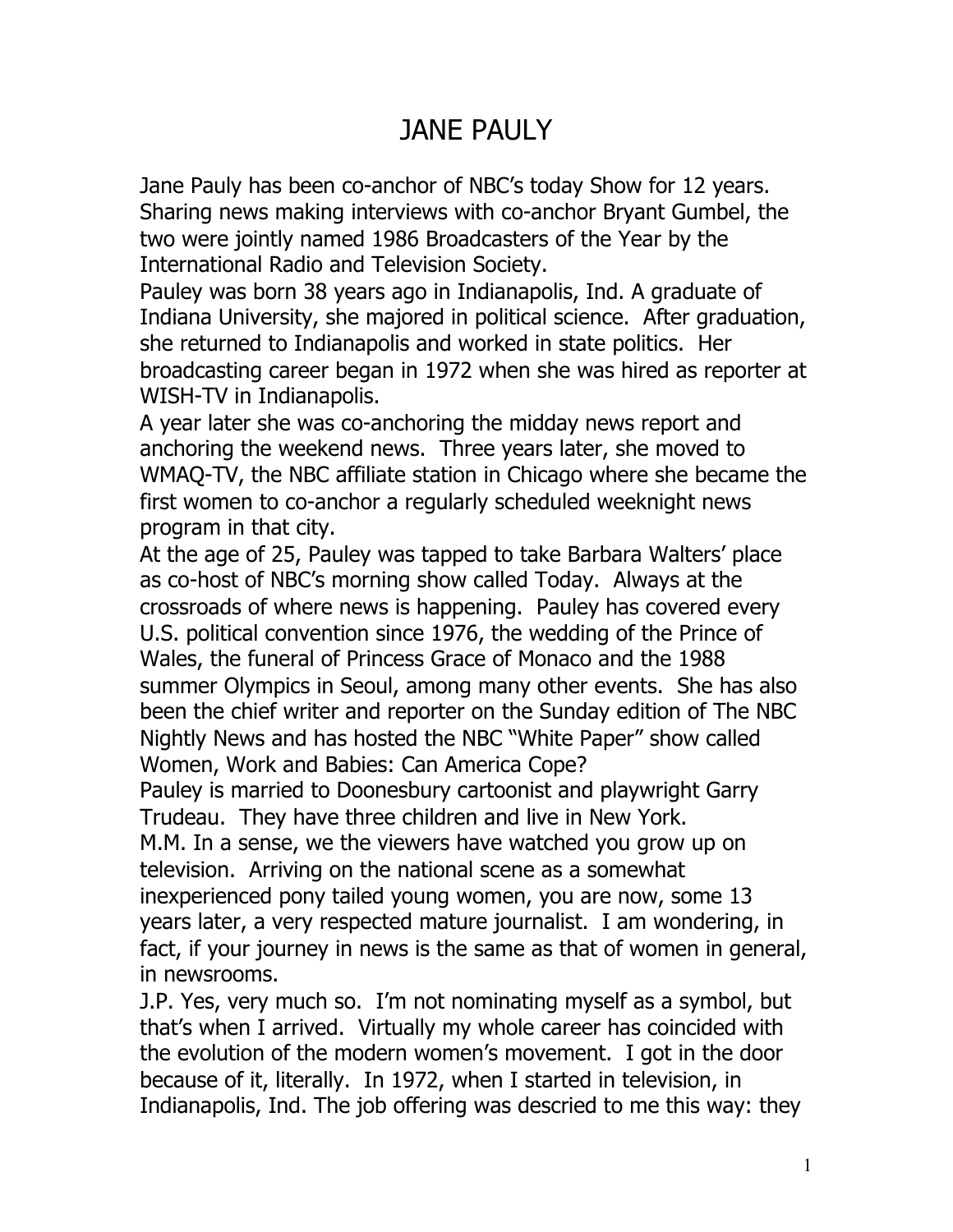## JANE PAULY

Jane Pauly has been co-anchor of NBC's today Show for 12 years. Sharing news making interviews with co-anchor Bryant Gumbel, the two were jointly named 1986 Broadcasters of the Year by the International Radio and Television Society.

Pauley was born 38 years ago in Indianapolis, Ind. A graduate of Indiana University, she majored in political science. After graduation, she returned to Indianapolis and worked in state politics. Her broadcasting career began in 1972 when she was hired as reporter at WISH-TV in Indianapolis.

A year later she was co-anchoring the midday news report and anchoring the weekend news. Three years later, she moved to WMAQ-TV, the NBC affiliate station in Chicago where she became the first women to co-anchor a regularly scheduled weeknight news program in that city.

At the age of 25, Pauley was tapped to take Barbara Walters' place as co-host of NBC's morning show called Today. Always at the crossroads of where news is happening. Pauley has covered every U.S. political convention since 1976, the wedding of the Prince of Wales, the funeral of Princess Grace of Monaco and the 1988 summer Olympics in Seoul, among many other events. She has also been the chief writer and reporter on the Sunday edition of The NBC Nightly News and has hosted the NBC "White Paper" show called Women, Work and Babies: Can America Cope?

Pauley is married to Doonesbury cartoonist and playwright Garry Trudeau. They have three children and live in New York.

M.M. In a sense, we the viewers have watched you grow up on television. Arriving on the national scene as a somewhat inexperienced pony tailed young women, you are now, some 13 years later, a very respected mature journalist. I am wondering, in fact, if your journey in news is the same as that of women in general, in newsrooms.

J.P. Yes, very much so. I'm not nominating myself as a symbol, but that's when I arrived. Virtually my whole career has coincided with the evolution of the modern women's movement. I got in the door because of it, literally. In 1972, when I started in television, in Indianapolis, Ind. The job offering was descried to me this way: they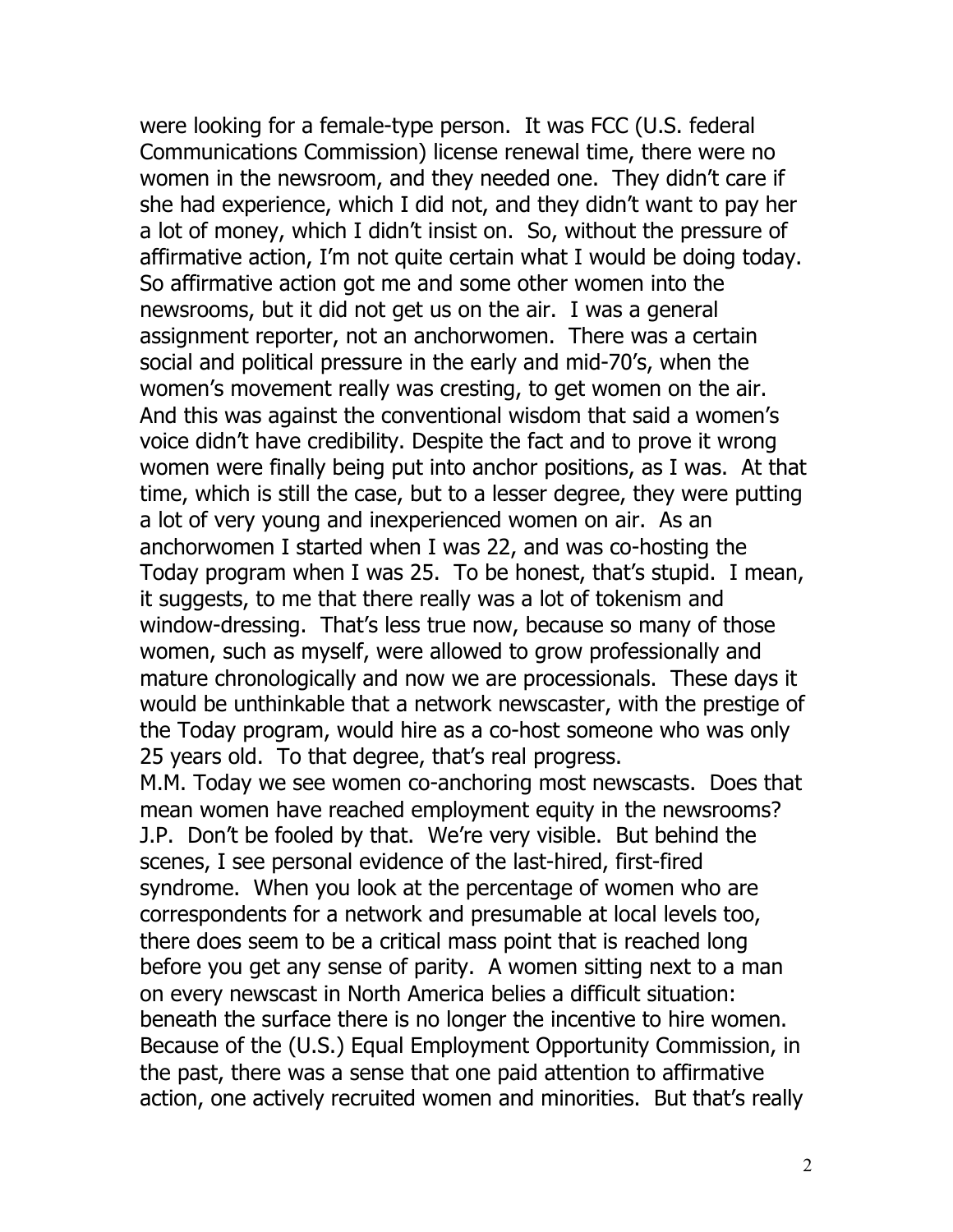were looking for a female-type person. It was FCC (U.S. federal Communications Commission) license renewal time, there were no women in the newsroom, and they needed one. They didn't care if she had experience, which I did not, and they didn't want to pay her a lot of money, which I didn't insist on. So, without the pressure of affirmative action, I'm not quite certain what I would be doing today. So affirmative action got me and some other women into the newsrooms, but it did not get us on the air. I was a general assignment reporter, not an anchorwomen. There was a certain social and political pressure in the early and mid-70's, when the women's movement really was cresting, to get women on the air. And this was against the conventional wisdom that said a women's voice didn't have credibility. Despite the fact and to prove it wrong women were finally being put into anchor positions, as I was. At that time, which is still the case, but to a lesser degree, they were putting a lot of very young and inexperienced women on air. As an anchorwomen I started when I was 22, and was co-hosting the Today program when I was 25. To be honest, that's stupid. I mean, it suggests, to me that there really was a lot of tokenism and window-dressing. That's less true now, because so many of those women, such as myself, were allowed to grow professionally and mature chronologically and now we are processionals. These days it would be unthinkable that a network newscaster, with the prestige of the Today program, would hire as a co-host someone who was only 25 years old. To that degree, that's real progress. M.M. Today we see women co-anchoring most newscasts. Does that mean women have reached employment equity in the newsrooms? J.P. Don't be fooled by that. We're very visible. But behind the scenes, I see personal evidence of the last-hired, first-fired syndrome. When you look at the percentage of women who are correspondents for a network and presumable at local levels too, there does seem to be a critical mass point that is reached long before you get any sense of parity. A women sitting next to a man on every newscast in North America belies a difficult situation: beneath the surface there is no longer the incentive to hire women. Because of the (U.S.) Equal Employment Opportunity Commission, in the past, there was a sense that one paid attention to affirmative action, one actively recruited women and minorities. But that's really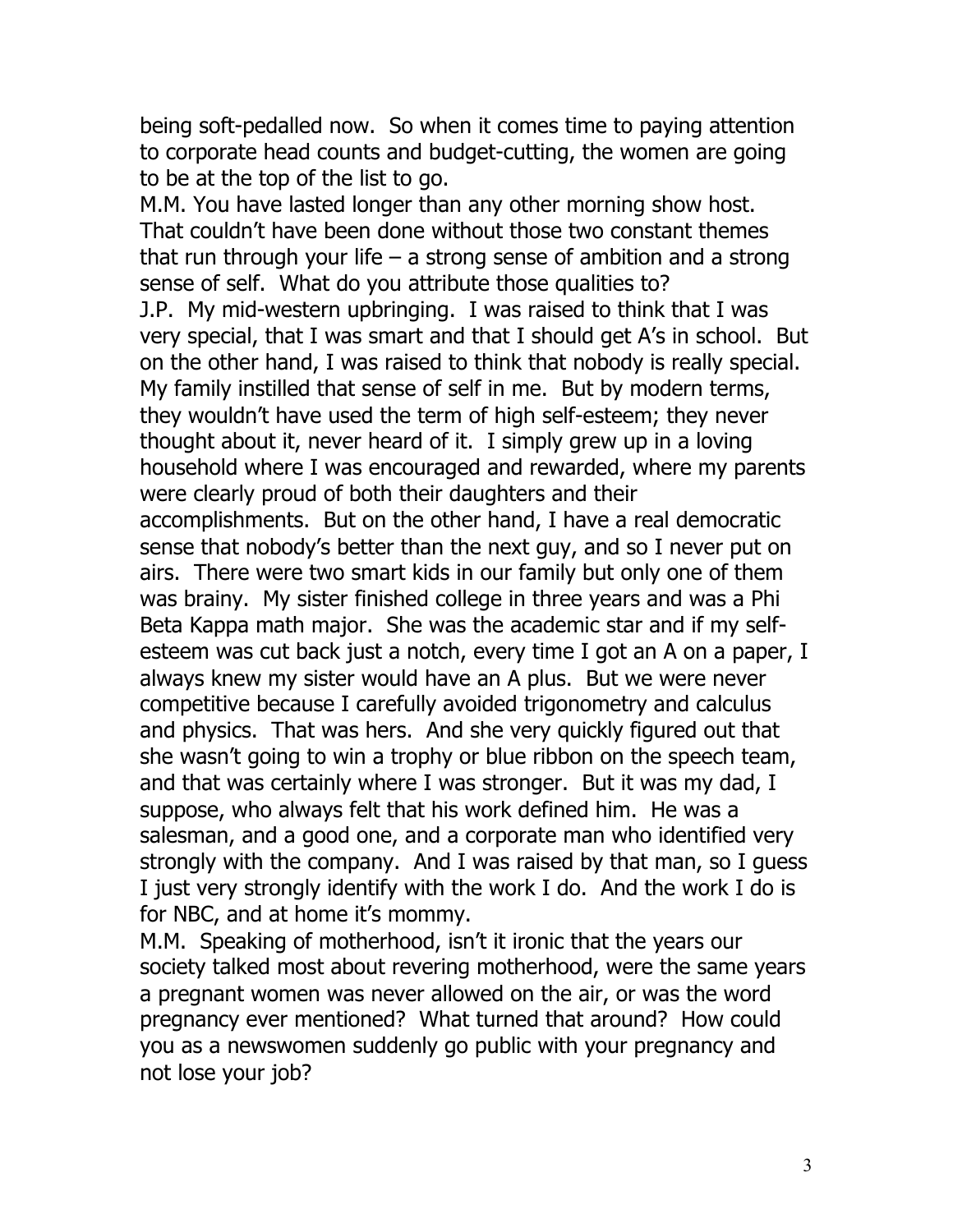being soft-pedalled now. So when it comes time to paying attention to corporate head counts and budget-cutting, the women are going to be at the top of the list to go.

M.M. You have lasted longer than any other morning show host. That couldn't have been done without those two constant themes that run through your life – a strong sense of ambition and a strong sense of self. What do you attribute those qualities to? J.P. My mid-western upbringing. I was raised to think that I was very special, that I was smart and that I should get A's in school. But on the other hand, I was raised to think that nobody is really special. My family instilled that sense of self in me. But by modern terms, they wouldn't have used the term of high self-esteem; they never thought about it, never heard of it. I simply grew up in a loving household where I was encouraged and rewarded, where my parents were clearly proud of both their daughters and their accomplishments. But on the other hand, I have a real democratic sense that nobody's better than the next guy, and so I never put on airs. There were two smart kids in our family but only one of them was brainy. My sister finished college in three years and was a Phi Beta Kappa math major. She was the academic star and if my selfesteem was cut back just a notch, every time I got an A on a paper, I always knew my sister would have an A plus. But we were never competitive because I carefully avoided trigonometry and calculus and physics. That was hers. And she very quickly figured out that she wasn't going to win a trophy or blue ribbon on the speech team, and that was certainly where I was stronger. But it was my dad, I suppose, who always felt that his work defined him. He was a salesman, and a good one, and a corporate man who identified very strongly with the company. And I was raised by that man, so I guess I just very strongly identify with the work I do. And the work I do is for NBC, and at home it's mommy.

M.M. Speaking of motherhood, isn't it ironic that the years our society talked most about revering motherhood, were the same years a pregnant women was never allowed on the air, or was the word pregnancy ever mentioned? What turned that around? How could you as a newswomen suddenly go public with your pregnancy and not lose your job?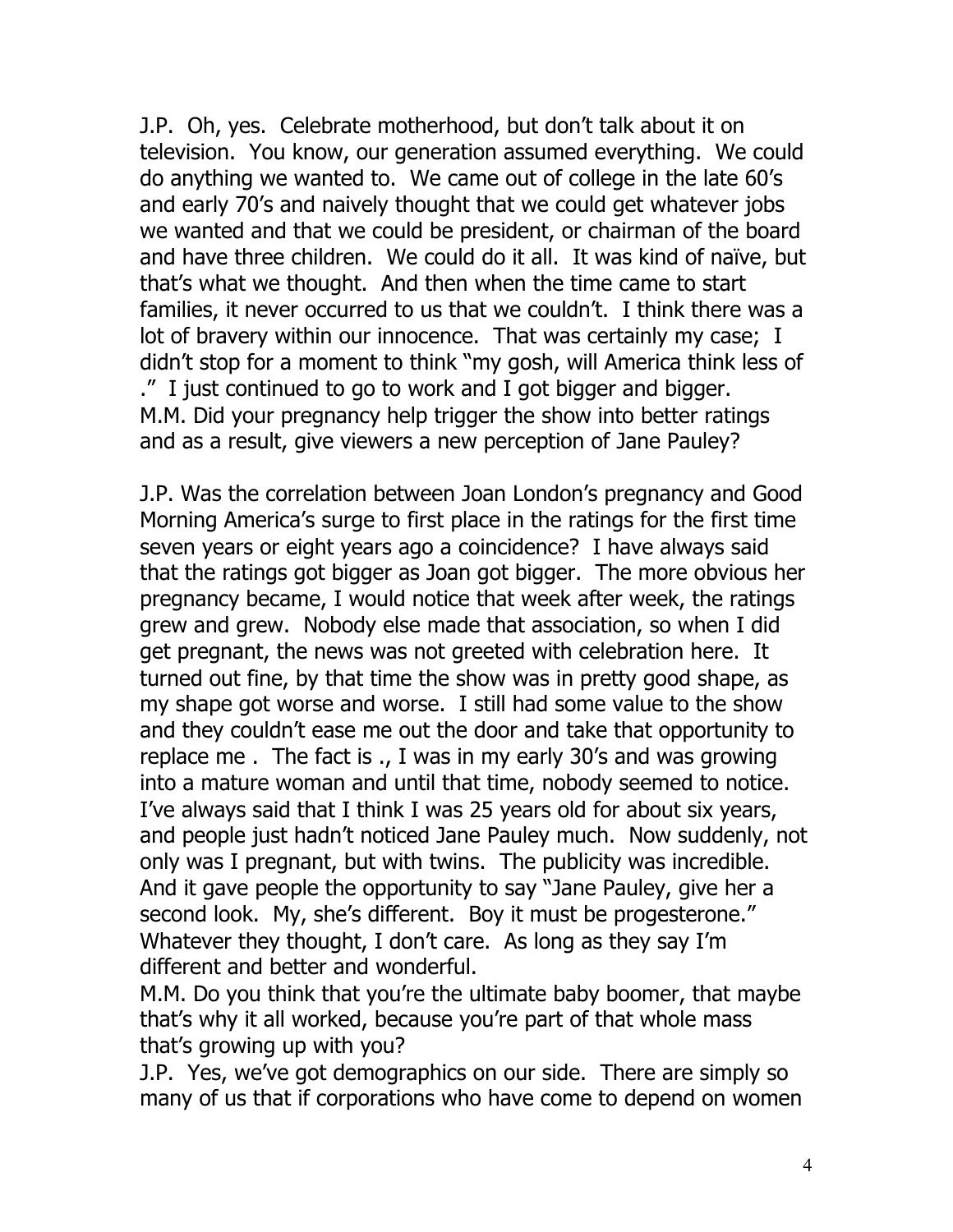J.P. Oh, yes. Celebrate motherhood, but don't talk about it on television. You know, our generation assumed everything. We could do anything we wanted to. We came out of college in the late 60's and early 70's and naively thought that we could get whatever jobs we wanted and that we could be president, or chairman of the board and have three children. We could do it all. It was kind of naïve, but that's what we thought. And then when the time came to start families, it never occurred to us that we couldn't. I think there was a lot of bravery within our innocence. That was certainly my case; I didn't stop for a moment to think "my gosh, will America think less of ." I just continued to go to work and I got bigger and bigger. M.M. Did your pregnancy help trigger the show into better ratings and as a result, give viewers a new perception of Jane Pauley?

J.P. Was the correlation between Joan London's pregnancy and Good Morning America's surge to first place in the ratings for the first time seven years or eight years ago a coincidence? I have always said that the ratings got bigger as Joan got bigger. The more obvious her pregnancy became, I would notice that week after week, the ratings grew and grew. Nobody else made that association, so when I did get pregnant, the news was not greeted with celebration here. It turned out fine, by that time the show was in pretty good shape, as my shape got worse and worse. I still had some value to the show and they couldn't ease me out the door and take that opportunity to replace me . The fact is ., I was in my early 30's and was growing into a mature woman and until that time, nobody seemed to notice. I've always said that I think I was 25 years old for about six years, and people just hadn't noticed Jane Pauley much. Now suddenly, not only was I pregnant, but with twins. The publicity was incredible. And it gave people the opportunity to say "Jane Pauley, give her a second look. My, she's different. Boy it must be progesterone." Whatever they thought, I don't care. As long as they say I'm different and better and wonderful.

M.M. Do you think that you're the ultimate baby boomer, that maybe that's why it all worked, because you're part of that whole mass that's growing up with you?

J.P. Yes, we've got demographics on our side. There are simply so many of us that if corporations who have come to depend on women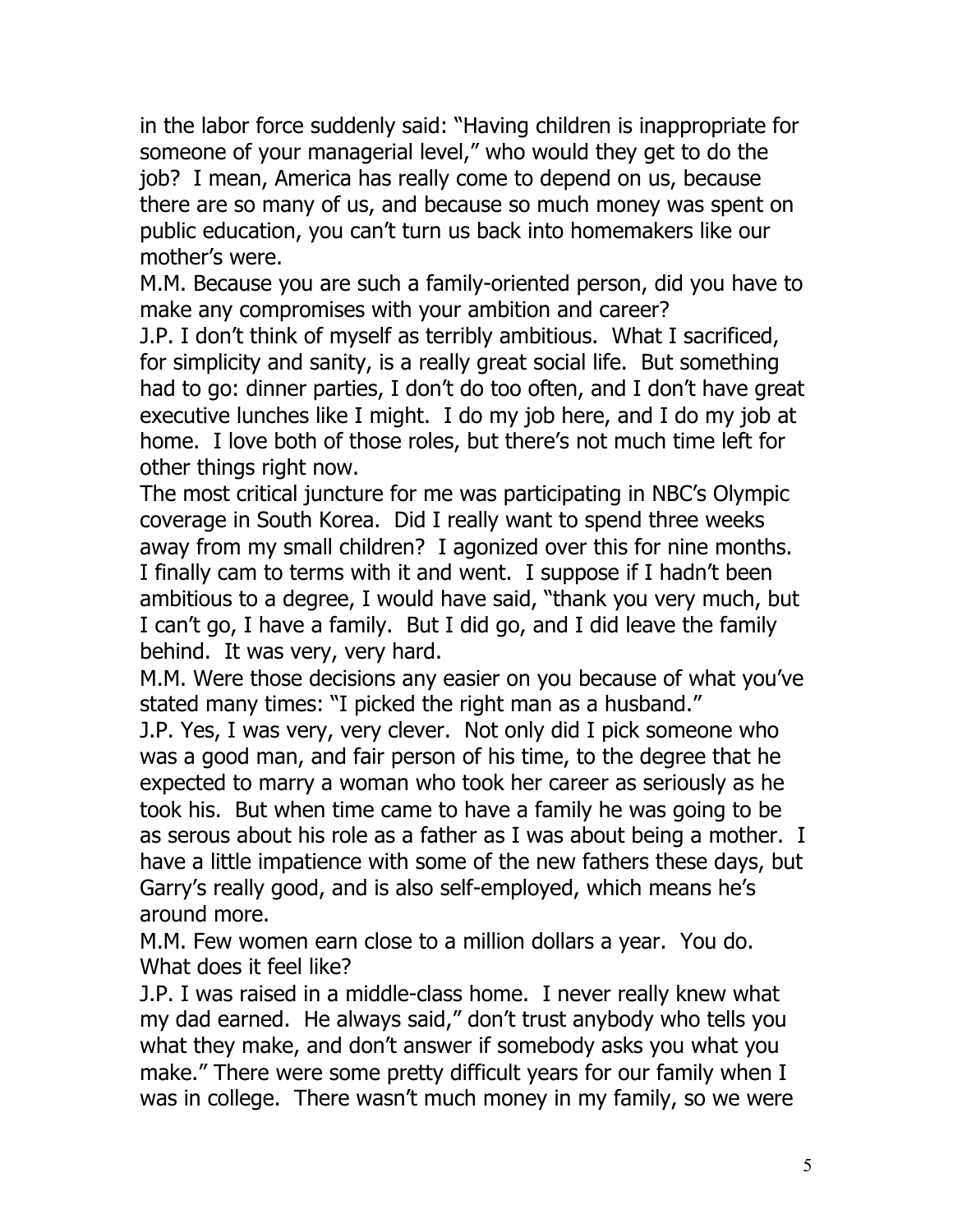in the labor force suddenly said: "Having children is inappropriate for someone of your managerial level," who would they get to do the job? I mean, America has really come to depend on us, because there are so many of us, and because so much money was spent on public education, you can't turn us back into homemakers like our mother's were.

M.M. Because you are such a family-oriented person, did you have to make any compromises with your ambition and career?

J.P. I don't think of myself as terribly ambitious. What I sacrificed, for simplicity and sanity, is a really great social life. But something had to go: dinner parties, I don't do too often, and I don't have great executive lunches like I might. I do my job here, and I do my job at home. I love both of those roles, but there's not much time left for other things right now.

The most critical juncture for me was participating in NBC's Olympic coverage in South Korea. Did I really want to spend three weeks away from my small children? I agonized over this for nine months. I finally cam to terms with it and went. I suppose if I hadn't been ambitious to a degree, I would have said, "thank you very much, but I can't go, I have a family. But I did go, and I did leave the family behind. It was very, very hard.

M.M. Were those decisions any easier on you because of what you've stated many times: "I picked the right man as a husband."

J.P. Yes, I was very, very clever. Not only did I pick someone who was a good man, and fair person of his time, to the degree that he expected to marry a woman who took her career as seriously as he took his. But when time came to have a family he was going to be as serous about his role as a father as I was about being a mother. I have a little impatience with some of the new fathers these days, but Garry's really good, and is also self-employed, which means he's around more.

M.M. Few women earn close to a million dollars a year. You do. What does it feel like?

J.P. I was raised in a middle-class home. I never really knew what my dad earned. He always said," don't trust anybody who tells you what they make, and don't answer if somebody asks you what you make." There were some pretty difficult years for our family when I was in college. There wasn't much money in my family, so we were